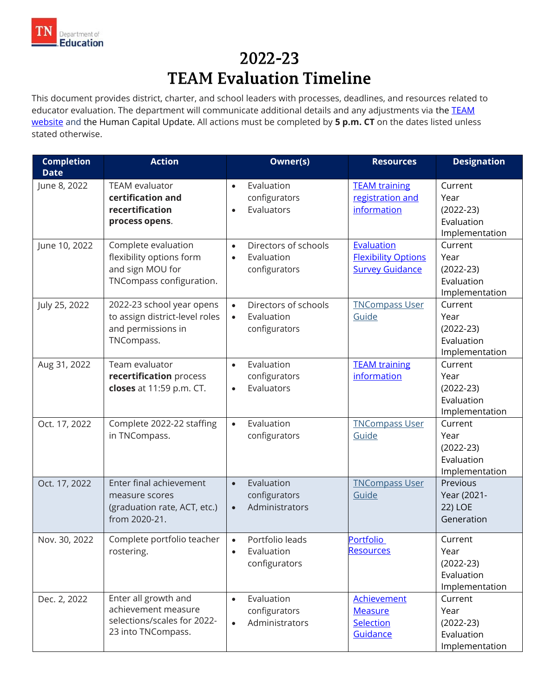

## 2022-23 **TEAM Evaluation Timeline**

This document provides district, charter, and school leaders with processes, deadlines, and resources related to educator evaluation. The department will communicate additional details and any adjustments via the **TEAM** [website](https://team-tn.org/) and the Human Capital Update. All actions must be completed by **5 p.m. CT** on the dates listed unless stated otherwise.

| <b>Completion</b><br><b>Date</b> | <b>Action</b>                                                                                    | Owner(s)                                                                      | <b>Resources</b>                                                   | <b>Designation</b>                                             |
|----------------------------------|--------------------------------------------------------------------------------------------------|-------------------------------------------------------------------------------|--------------------------------------------------------------------|----------------------------------------------------------------|
| June 8, 2022                     | <b>TEAM</b> evaluator<br>certification and<br>recertification<br>process opens.                  | Evaluation<br>$\bullet$<br>configurators<br>Evaluators<br>$\bullet$           | <b>TEAM training</b><br>registration and<br>information            | Current<br>Year<br>$(2022-23)$<br>Evaluation<br>Implementation |
| June 10, 2022                    | Complete evaluation<br>flexibility options form<br>and sign MOU for<br>TNCompass configuration.  | Directors of schools<br>$\bullet$<br>Evaluation<br>$\bullet$<br>configurators | Evaluation<br><b>Flexibility Options</b><br><b>Survey Guidance</b> | Current<br>Year<br>$(2022-23)$<br>Evaluation<br>Implementation |
| July 25, 2022                    | 2022-23 school year opens<br>to assign district-level roles<br>and permissions in<br>TNCompass.  | Directors of schools<br>$\bullet$<br>Evaluation<br>$\bullet$<br>configurators | <b>TNCompass User</b><br>Guide                                     | Current<br>Year<br>$(2022-23)$<br>Evaluation<br>Implementation |
| Aug 31, 2022                     | Team evaluator<br>recertification process<br>closes at 11:59 p.m. CT.                            | Evaluation<br>$\bullet$<br>configurators<br>Evaluators<br>$\bullet$           | <b>TEAM</b> training<br>information                                | Current<br>Year<br>$(2022-23)$<br>Evaluation<br>Implementation |
| Oct. 17, 2022                    | Complete 2022-22 staffing<br>in TNCompass.                                                       | Evaluation<br>$\bullet$<br>configurators                                      | <b>TNCompass User</b><br>Guide                                     | Current<br>Year<br>$(2022-23)$<br>Evaluation<br>Implementation |
| Oct. 17, 2022                    | Enter final achievement<br>measure scores<br>(graduation rate, ACT, etc.)<br>from 2020-21.       | Evaluation<br>$\bullet$<br>configurators<br>Administrators<br>$\bullet$       | <b>TNCompass User</b><br>Guide                                     | Previous<br>Year (2021-<br>22) LOE<br>Generation               |
| Nov. 30, 2022                    | Complete portfolio teacher<br>rostering.                                                         | Portfolio leads<br>$\bullet$<br>Evaluation<br>configurators                   | <b>Portfolio</b><br>Resources                                      | Current<br>Year<br>$(2022-23)$<br>Evaluation<br>Implementation |
| Dec. 2, 2022                     | Enter all growth and<br>achievement measure<br>selections/scales for 2022-<br>23 into TNCompass. | Evaluation<br>$\bullet$<br>configurators<br>Administrators<br>$\bullet$       | <b>Achievement</b><br><b>Measure</b><br>Selection<br>Guidance      | Current<br>Year<br>$(2022-23)$<br>Evaluation<br>Implementation |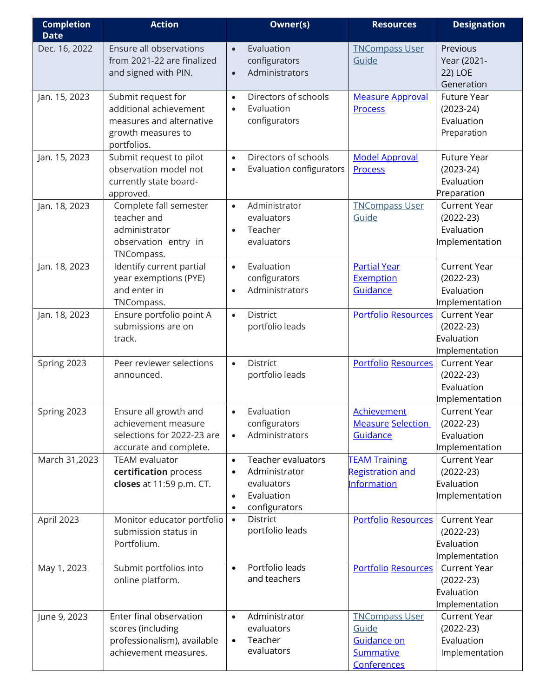| <b>Completion</b> | <b>Action</b>                          |           | <b>Owner(s)</b>                 | <b>Resources</b>           | <b>Designation</b>                    |
|-------------------|----------------------------------------|-----------|---------------------------------|----------------------------|---------------------------------------|
| <b>Date</b>       |                                        |           |                                 |                            |                                       |
| Dec. 16, 2022     | Ensure all observations                | $\bullet$ | Evaluation                      | <b>TNCompass User</b>      | Previous                              |
|                   | from 2021-22 are finalized             |           | configurators                   | Guide                      | Year (2021-                           |
|                   | and signed with PIN.                   | $\bullet$ | Administrators                  |                            | 22) LOE                               |
|                   |                                        |           |                                 |                            | Generation                            |
| Jan. 15, 2023     | Submit request for                     | $\bullet$ | Directors of schools            | <b>Measure Approval</b>    | Future Year                           |
|                   | additional achievement                 | $\bullet$ | Evaluation                      | <b>Process</b>             | $(2023-24)$                           |
|                   | measures and alternative               |           | configurators                   |                            | Evaluation                            |
|                   | growth measures to                     |           |                                 |                            | Preparation                           |
|                   | portfolios.                            |           |                                 |                            |                                       |
| Jan. 15, 2023     | Submit request to pilot                | $\bullet$ | Directors of schools            | <b>Model Approval</b>      | Future Year                           |
|                   | observation model not                  | $\bullet$ | Evaluation configurators        | <b>Process</b>             | $(2023-24)$                           |
|                   | currently state board-                 |           |                                 |                            | Evaluation                            |
|                   | approved.                              |           |                                 |                            | Preparation                           |
| Jan. 18, 2023     | Complete fall semester                 | $\bullet$ | Administrator                   | <b>TNCompass User</b>      | <b>Current Year</b>                   |
|                   | teacher and                            |           | evaluators                      | Guide                      | $(2022-23)$                           |
|                   | administrator                          | $\bullet$ | Teacher                         |                            | Evaluation                            |
|                   | observation entry in                   |           | evaluators                      |                            | Implementation                        |
|                   | TNCompass.                             |           |                                 |                            |                                       |
| Jan. 18, 2023     | Identify current partial               | $\bullet$ | Evaluation                      | <b>Partial Year</b>        | <b>Current Year</b>                   |
|                   | year exemptions (PYE)<br>and enter in  |           | configurators<br>Administrators | Exemption                  | $(2022-23)$                           |
|                   |                                        | $\bullet$ |                                 | Guidance                   | Evaluation                            |
|                   | TNCompass.<br>Ensure portfolio point A | $\bullet$ | District                        | <b>Portfolio Resources</b> | Implementation<br><b>Current Year</b> |
| Jan. 18, 2023     | submissions are on                     |           | portfolio leads                 |                            | $(2022-23)$                           |
|                   | track.                                 |           |                                 |                            | Evaluation                            |
|                   |                                        |           |                                 |                            | Implementation                        |
| Spring 2023       | Peer reviewer selections               | $\bullet$ | District                        | <b>Portfolio Resources</b> | <b>Current Year</b>                   |
|                   | announced.                             |           | portfolio leads                 |                            | $(2022-23)$                           |
|                   |                                        |           |                                 |                            | Evaluation                            |
|                   |                                        |           |                                 |                            | Implementation                        |
| Spring 2023       | Ensure all growth and                  | $\bullet$ | Evaluation                      | <b>Achievement</b>         | <b>Current Year</b>                   |
|                   | achievement measure                    |           | configurators                   | <b>Measure Selection</b>   | $(2022-23)$                           |
|                   | selections for 2022-23 are             | $\bullet$ | Administrators                  | Guidance                   | Evaluation                            |
|                   | accurate and complete.                 |           |                                 |                            | Implementation                        |
| March 31,2023     | <b>TEAM</b> evaluator                  | $\bullet$ | <b>Teacher evaluators</b>       | <b>TEAM Training</b>       | <b>Current Year</b>                   |
|                   | certification process                  | $\bullet$ | Administrator                   | <b>Registration and</b>    | $(2022-23)$                           |
|                   | closes at 11:59 p.m. CT.               |           | evaluators                      | Information                | Evaluation                            |
|                   |                                        | $\bullet$ | Evaluation                      |                            | Implementation                        |
|                   |                                        | $\bullet$ | configurators                   |                            |                                       |
| April 2023        | Monitor educator portfolio             | $\bullet$ | District                        | <b>Portfolio Resources</b> | <b>Current Year</b>                   |
|                   | submission status in                   |           | portfolio leads                 |                            | $(2022-23)$                           |
|                   | Portfolium.                            |           |                                 |                            | Evaluation                            |
|                   |                                        |           |                                 |                            | Implementation                        |
| May 1, 2023       | Submit portfolios into                 | $\bullet$ | Portfolio leads                 | <b>Portfolio Resources</b> | <b>Current Year</b>                   |
|                   | online platform.                       |           | and teachers                    |                            | $(2022-23)$                           |
|                   |                                        |           |                                 |                            | Evaluation                            |
|                   |                                        |           |                                 |                            | Implementation                        |
| June 9, 2023      | Enter final observation                | $\bullet$ | Administrator                   | <b>TNCompass User</b>      | <b>Current Year</b>                   |
|                   | scores (including                      |           | evaluators                      | Guide                      | $(2022-23)$                           |
|                   | professionalism), available            | $\bullet$ | Teacher                         | Guidance on                | Evaluation                            |
|                   | achievement measures.                  |           | evaluators                      | Summative                  | Implementation                        |
|                   |                                        |           |                                 | Conferences                |                                       |